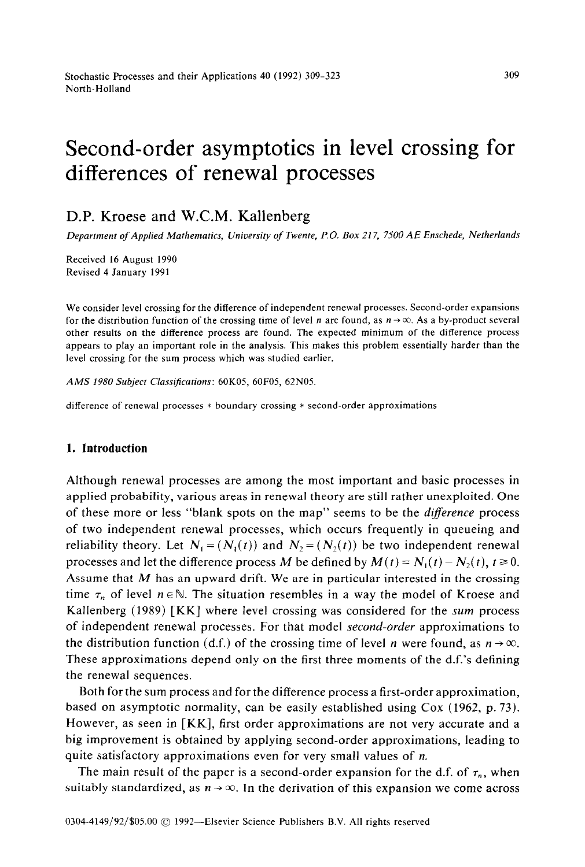# Second-order asymptotics in level crossing for differences of renewal processes

# D.P. Kroese and W.C.M. Kallenberg

*Department of Applied Mathematics, University of Twente, P.O. Box 217, 7500 AE Enschede, Netherlands* 

Received 16 August 1990 Revised 4 January 1991

We consider level crossing for the difference of independent renewal processes. Second-order expansions for the distribution function of the crossing time of level n are found, as  $n \rightarrow \infty$ . As a by-product several other results on the difference process are found. The expected minimum of the difference process appears to play an important role in the analysis. This makes this problem essentially harder than the level crossing for the sum process which was studied earlier.

*AMS 1980 Subject Classijications: 60K05, 60F05, 62NOS.* 

difference of renewal processes \* boundary crossing \* second-order approximations

#### **1. Introduction**

Although renewal processes are among the most important and basic processes in applied probability, various areas in renewal theory are still rather unexploited. One of these more or less "blank spots on the map" seems to be the *diference* process of two independent renewal processes, which occurs frequently in queueing and reliability theory. Let  $N_1 = (N_1(t))$  and  $N_2 = (N_2(t))$  be two independent renewal processes and let the difference process *M* be defined by  $M(t) = N_1(t) - N_2(t)$ ,  $t \ge 0$ . Assume that *M* has an upward drift. We are in particular interested in the crossing time  $\tau_n$  of level  $n \in \mathbb{N}$ . The situation resembles in a way the model of Kroese and Kallenberg (1989) [ KK] where level crossing was considered for the *sum* process of independent renewal processes. For that model *second-order* approximations to the distribution function (d.f.) of the crossing time of level n were found, as  $n \rightarrow \infty$ . These approximations depend only on the first three moments of the d.f.'s defining the renewal sequences.

Both for the sum process and for the difference process a first-order approximation, based on asymptotic normality, can be easily established using Cox (1962, p. 73). However, as seen in [KK], first order approximations are not very accurate and a big improvement is obtained by applying second-order approximations, leading to quite satisfactory approximations even for very small values of n.

The main result of the paper is a second-order expansion for the d.f. of  $\tau_n$ , when suitably standardized, as  $n \rightarrow \infty$ . In the derivation of this expansion we come across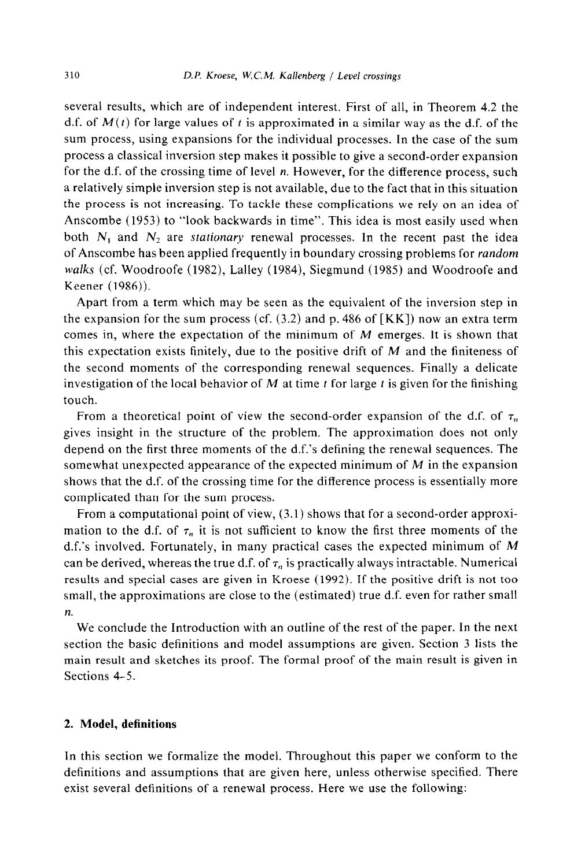several results, which are of independent interest. First of all, in Theorem 4.2 the d.f. of  $M(t)$  for large values of t is approximated in a similar way as the d.f. of the sum process, using expansions for the individual processes. In the case of the sum process a classical inversion step makes it possible to give a second-order expansion for the d.f. of the crossing time of level n. However, for the difference process, such a relatively simple inversion step is not available, due to the fact that in this situation the process is not increasing. To tackle these complications we rely on an idea of Anscombe (1953) to "look backwards in time". This idea is most easily used when both  $N_1$  and  $N_2$  are *stationary* renewal processes. In the recent past the idea of Anscombe has been applied frequently in boundary crossing problems for *random walks* (cf. Woodroofe (1982), Lalley (1984), Siegmund (1985) and Woodroofe and Keener (1986)).

Apart from a term which may be seen as the equivalent of the inversion step in the expansion for the sum process (cf.  $(3.2)$  and p. 486 of [KK]) now an extra term comes in, where the expectation of the minimum of *M* emerges. It is shown that this expectation exists finitely, due to the positive drift of *M* and the finiteness of the second moments of the corresponding renewal sequences. Finally a delicate investigation of the local behavior of  $M$  at time  $t$  for large  $t$  is given for the finishing touch.

From a theoretical point of view the second-order expansion of the d.f. of  $\tau_n$ gives insight in the structure of the problem. The approximation does not only depend on the first three moments of the d.f.'s defining the renewal sequences. The somewhat unexpected appearance of the expected minimum of *M* in the expansion shows that the d.f. of the crossing time for the difference process is essentially more complicated than for the sum process.

From a computational point of view, (3.1) shows that for a second-order approximation to the d.f. of  $\tau_n$  it is not sufficient to know the first three moments of the d.f.'s involved. Fortunately, in many practical cases the expected minimum of *M*  can be derived, whereas the true d.f. of  $\tau_n$  is practically always intractable. Numerical results and special cases are given in Kroese (1992). If the positive drift is not too small, the approximations are close to the (estimated) true d.f. even for rather small *n.* 

We conclude the Introduction with an outline of the rest of the paper. In the next section the basic definitions and model assumptions are given. Section 3 lists the main result and sketches its proof. The formal proof of the main result is given in Sections 4-5.

## 2. **Model, definitions**

In this section we formalize the model. Throughout this paper we conform to the definitions and assumptions that are given here, unless otherwise specified. There exist several definitions of a renewal process. Here we use the following: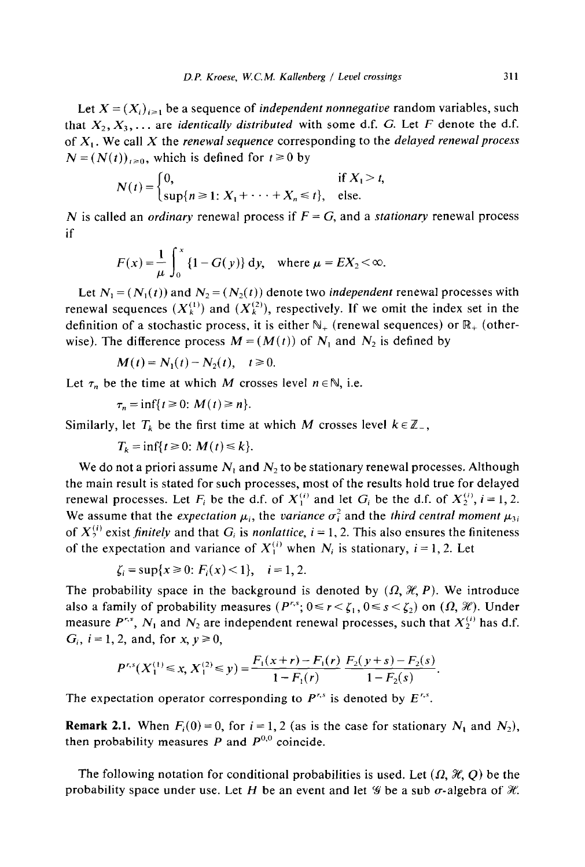Let  $X = (X_i)_{i \geq 1}$  be a sequence of *independent nonnegative* random variables, such that  $X_2, X_3, \ldots$  are *identically distributed* with some d.f. G. Let *F* denote the d.f. of **X, .** We call *X* the *renewal sequence* corresponding to the *delayed renewal process*   $N = (N(t))_{t \geq 0}$ , which is defined for  $t \geq 0$  by

$$
N(t) = \begin{cases} 0, & \text{if } X_1 > t, \\ \sup\{n \geq 1: X_1 + \cdots + X_n \leq t\}, & \text{else.} \end{cases}
$$

N is called an *ordinary* renewal process if *F = G,* and a *stationary* renewal process if

$$
F(x) = \frac{1}{\mu} \int_0^x \{1 - G(y)\} \, dy, \quad \text{where } \mu = EX_2 < \infty.
$$

Let  $N_1 = (N_1(t))$  and  $N_2 = (N_2(t))$  denote two *independent* renewal processes with renewal sequences  $(X_k^{(1)})$  and  $(X_k^{(2)})$ , respectively. If we omit the index set in the definition of a stochastic process, it is either  $\mathbb{N}_+$  (renewal sequences) or  $\mathbb{R}_+$  (otherwise). The difference process  $M = (M(t))$  of  $N_1$  and  $N_2$  is defined by

$$
M(t) = N_1(t) - N_2(t), \quad t \ge 0.
$$

Let  $\tau_n$  be the time at which *M* crosses level  $n \in \mathbb{N}$ , i.e.

$$
\tau_n = \inf\{t \geq 0: M(t) \geq n\}.
$$

Similarly, let  $T_k$  be the first time at which M crosses level  $k \in \mathbb{Z}_-$ ,

$$
T_k = \inf\{t \ge 0: M(t) \le k\}.
$$

We do not a priori assume  $N_1$  and  $N_2$  to be stationary renewal processes. Although the main result is stated for such processes, most of the results hold true for delayed renewal processes. Let  $F_i$  be the d.f. of  $X_1^{(i)}$  and let  $G_i$  be the d.f. of  $X_2^{(i)}$ ,  $i = 1, 2$ . We assume that the *expectation*  $\mu_i$ , the *variance*  $\sigma_i^2$  and the *third central moment*  $\mu_{3i}$ of  $X_2^{(i)}$  exist *finitely* and that  $G_i$  is *nonlattice*,  $i = 1, 2$ . This also ensures the finiteness of the expectation and variance of  $X_i^{(i)}$  when  $N_i$  is stationary,  $i = 1, 2$ . Let

$$
\zeta_i = \sup\{x \ge 0 : F_i(x) < 1\}, \quad i = 1, 2
$$

The probability space in the background is denoted by  $(\Omega, \mathcal{H}, P)$ . We introduce also a family of probability measures  $(P^{r,s}; 0 \le r < \zeta_1, 0 \le s < \zeta_2)$  on  $(\Omega, \mathcal{H})$ . Under measure  $P^{r,s}$ ,  $N_1$  and  $N_2$  are independent renewal processes, such that  $X_2^{(i)}$  has d.f.  $G_i$ ,  $i=1,2$ , and, for  $x, y \ge 0$ ,

$$
P^{r,s}(X_1^{(1)} \le x, X_1^{(2)} \le y) = \frac{F_1(x+r) - F_1(r)}{1 - F_1(r)} \frac{F_2(y+s) - F_2(s)}{1 - F_2(s)}.
$$

The expectation operator corresponding to  $P^{r,s}$  is denoted by  $E^{r,s}$ .

**Remark 2.1.** When  $F_i(0) = 0$ , for  $i = 1, 2$  (as is the case for stationary  $N_1$  and  $N_2$ ), then probability measures  $P$  and  $P^{0,0}$  coincide.

The following notation for conditional probabilities is used. Let  $(\Omega, \mathcal{H}, Q)$  be the probability space under use. Let H be an event and let  $\mathscr G$  be a sub  $\sigma$ -algebra of  $\mathscr K$ .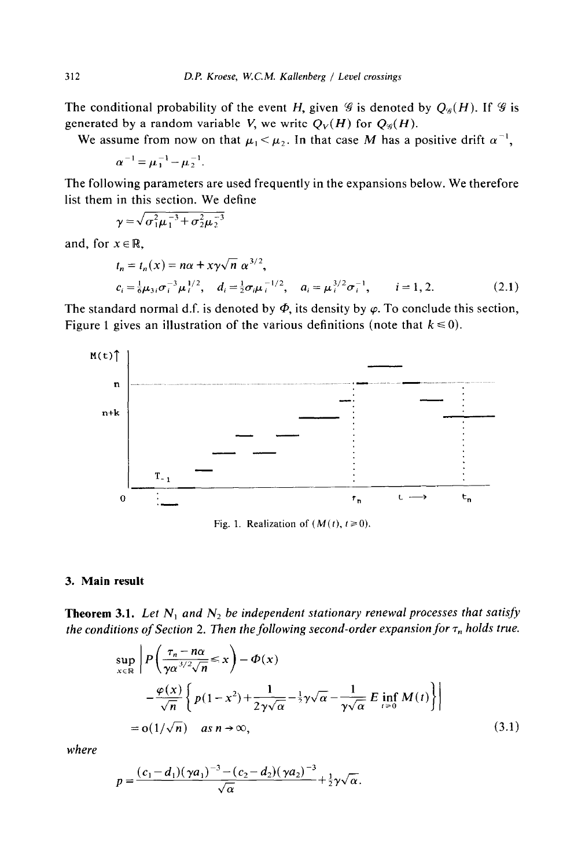The conditional probability of the event *H*, given  $\mathcal G$  is denoted by  $Q_{\mathcal G}(H)$ . If  $\mathcal G$  is generated by a random variable V, we write  $Q_V(H)$  for  $Q_\mathscr{G}(H)$ .

We assume from now on that  $\mu_1 < \mu_2$ . In that case M has a positive drift  $\alpha^{-1}$ ,

$$
\alpha^{-1} = \mu_1^{-1} - \mu_2^{-1}.
$$

The following parameters are used frequently in the expansions below. We therefore list them in this section. We define

$$
\gamma = \sqrt{\sigma_1^2 \mu_1^{-3} + \sigma_2^2 \mu_2^{-3}}
$$

and, for  $x \in \mathbb{R}$ ,

$$
t_n = t_n(x) = n\alpha + x\gamma\sqrt{n} \ \alpha^{3/2},
$$
  
\n
$$
c_i = \frac{1}{6}\mu_{3i}\sigma_i^{-3}\mu_i^{1/2}, \quad d_i = \frac{1}{2}\sigma_i\mu_i^{-1/2}, \quad a_i = \mu_i^{3/2}\sigma_i^{-1}, \quad i = 1, 2.
$$
 (2.1)

The standard normal d.f. is denoted by  $\Phi$ , its density by  $\varphi$ . To conclude this section, Figure 1 gives an illustration of the various definitions (note that  $k \le 0$ ).



Fig. 1. Realization of  $(M(t), t \ge 0)$ .

#### 3. **Main result**

**Theorem 3.1.** Let  $N_1$  and  $N_2$  be independent stationary renewal processes that satisfy *the conditions of Section 2. Then the following second-order expansion for*  $\tau_n$  *holds true.* 

$$
\sup_{x \in \mathbb{R}} \left| P\left( \frac{\tau_n - n\alpha}{\gamma \alpha^{3/2} \sqrt{n}} \le x \right) - \Phi(x) \right|
$$
  
 
$$
- \frac{\varphi(x)}{\sqrt{n}} \left\{ p(1 - x^2) + \frac{1}{2\gamma \sqrt{\alpha}} - \frac{1}{2} \gamma \sqrt{\alpha} - \frac{1}{\gamma \sqrt{\alpha}} E \inf_{t \ge 0} M(t) \right\} \right|
$$
  
= o(1/\sqrt{n}) \quad as  $n \to \infty$ , (3.1)

*where* 

$$
p = \frac{(c_1 - d_1)(\gamma a_1)^{-3} - (c_2 - d_2)(\gamma a_2)^{-3}}{\sqrt{\alpha}} + \frac{1}{2}\gamma\sqrt{\alpha}.
$$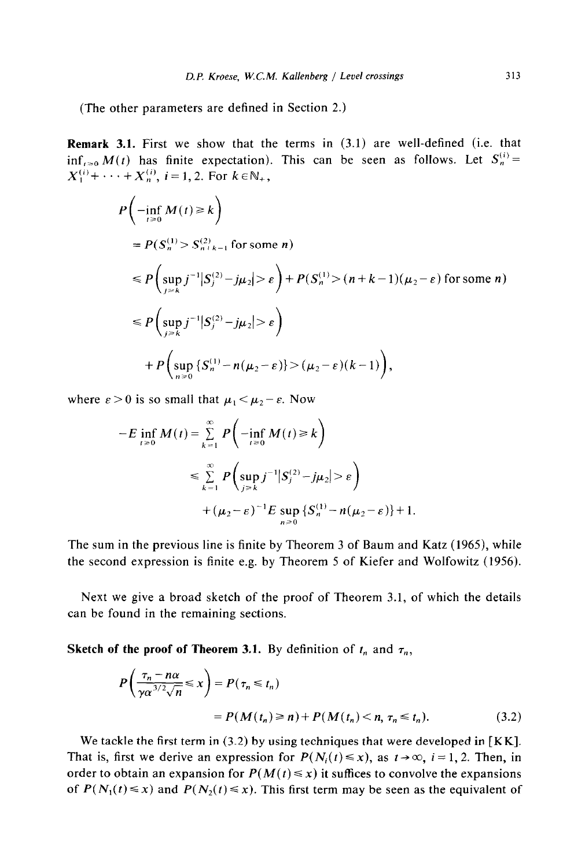(The other parameters are defined in Section 2.)

**Remark 3.1.** First we show that the terms in (3.1) are well-defined (i.e. that  $\inf_{t \geq 0} M(t)$  has finite expectation). This can be seen as follows. Let  $S_n^{(i)} =$  $X_1^{(i)}$ +  $\cdots$  +  $X_n^{(i)}$ ,  $i$  = 1, 2. For  $k \in \mathbb{N}_+$ ,

$$
P\left(-\inf_{t\geq0} M(t) \geq k\right)
$$
  
=  $P(S_n^{(1)} > S_{n+k-1}^{(2)}$  for some *n*)  

$$
\leq P\left(\sup_{j\geq k} j^{-1} |S_j^{(2)} - j\mu_2| > \varepsilon\right) + P(S_n^{(1)} > (n+k-1)(\mu_2 - \varepsilon)
$$
 for some *n*)  

$$
\leq P\left(\sup_{j\geq k} j^{-1} |S_j^{(2)} - j\mu_2| > \varepsilon\right)
$$
  

$$
+ P\left(\sup_{n\geq0} \{S_n^{(1)} - n(\mu_2 - \varepsilon)\} > (\mu_2 - \varepsilon)(k-1)\right),
$$

where  $\varepsilon > 0$  is so small that  $\mu_1 < \mu_2 - \varepsilon$ . Now

$$
-E \inf_{t \ge 0} M(t) = \sum_{k=1}^{\infty} P\left(-\inf_{t \ge 0} M(t) \ge k\right)
$$
  

$$
\le \sum_{k=1}^{\infty} P\left(\sup_{j \ge k} j^{-1} |S_j^{(2)} - j\mu_2| > \varepsilon\right)
$$
  

$$
+ (\mu_2 - \varepsilon)^{-1} E \sup_{n \ge 0} \left\{S_n^{(1)} - n(\mu_2 - \varepsilon)\right\} + 1.
$$

The sum in the previous line is finite by Theorem 3 of Baum and Katz (1965), while the second expression is finite e.g. by Theorem 5 of Kiefer and Wolfowitz (1956).

Next we give a broad sketch of the proof of Theorem 3.1, of which the details can be found in the remaining sections.

**Sketch of the proof of Theorem 3.1.** By definition of  $t_n$  and  $\tau_n$ ,

$$
P\left(\frac{\tau_n - n\alpha}{\gamma \alpha^{3/2} \sqrt{n}} \le x\right) = P(\tau_n \le t_n)
$$
  
=  $P(M(t_n) \ge n) + P(M(t_n) < n, \tau_n \le t_n).$  (3.2)

We tackle the first term in (3.2) by using techniques that were developed in [KK]. That is, first we derive an expression for  $P(N_i(t) \le x)$ , as  $t \to \infty$ ,  $i = 1, 2$ . Then, in order to obtain an expansion for  $P(M(t) \le x)$  it suffices to convolve the expansions of  $P(N_1(t) \le x)$  and  $P(N_2(t) \le x)$ . This first term may be seen as the equivalent of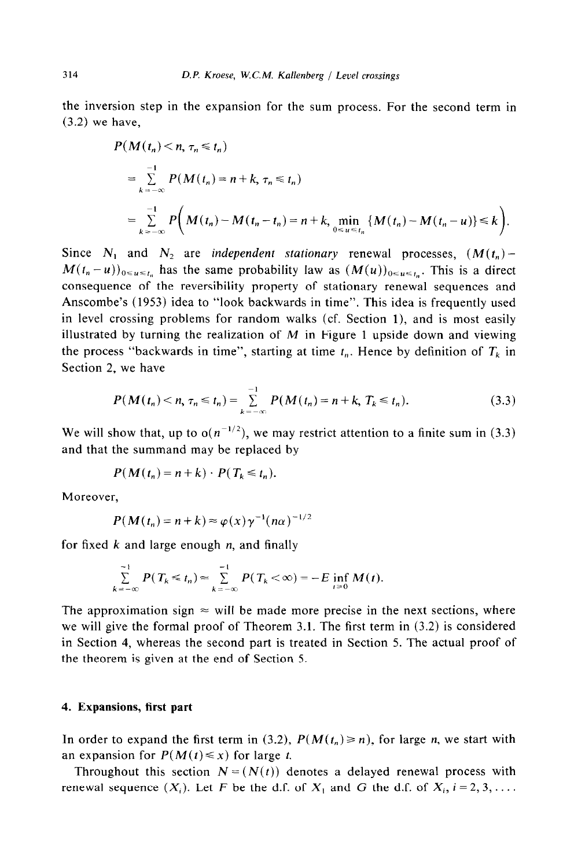the inversion step in the expansion for the sum process. For the second term in (3.2) we have,

$$
P(M(t_n) < n, \tau_n \le t_n)
$$
  
=  $\sum_{k=-\infty}^{-1} P(M(t_n) = n + k, \tau_n \le t_n)$   
=  $\sum_{k=-\infty}^{-1} P(M(t_n) - M(t_n - t_n) = n + k, \min_{0 \le u \le t_n} {M(t_n) - M(t_n - u)} \le k$ .

Since  $N_1$  and  $N_2$  are *independent stationary* renewal processes,  $(M(t_n) M(t_n - u)_{0 \le u \le t_n}$  has the same probability law as  $(M(u))_{0 \le u \le t_n}$ . This is a direct consequence of the reversibility property of stationary renewal sequences and Anscombe's (1953) idea to "look backwards in time". This idea is frequently used in level crossing problems for random walks (cf. Section l), and is most easily illustrated by turning the realization of  $M$  in Figure 1 upside down and viewing the process "backwards in time", starting at time  $t_n$ . Hence by definition of  $T_k$  in Section 2, we have

$$
P(M(t_n) < n, \tau_n \leq t_n) = \sum_{k=-\infty}^{-1} P(M(t_n) = n + k, \, T_k \leq t_n). \tag{3.3}
$$

We will show that, up to  $o(n^{-1/2})$ , we may restrict attention to a finite sum in (3.3) and that the summand may be replaced by

$$
P(M(t_n) = n + k) \cdot P(T_k \leq t_n).
$$

Moreover,

$$
P(M(t_n) = n + k) \approx \varphi(x) \gamma^{-1} (n\alpha)^{-1/2}
$$

for fixed *k* and large enough *n,* and finally

$$
\sum_{k=-\infty}^{-1} P(T_k \leq t_n) \approx \sum_{k=-\infty}^{-1} P(T_k < \infty) = -E \inf_{t \geq 0} M(t).
$$

The approximation sign  $\approx$  will be made more precise in the next sections, where we will give the formal proof of Theorem 3.1. The first term in (3.2) is considered in Section 4, whereas the second part is treated in Section 5. The actual proof of the theorem is given at the end of Section 5.

#### 4. **Expansions, first part**

In order to expand the first term in (3.2),  $P(M(t_n) \ge n)$ , for large *n*, we start with an expansion for  $P(M(t) \le x)$  for large t.

Throughout this section  $N = (N(t))$  denotes a delayed renewal process with renewal sequence  $(X_i)$ . Let F be the d.f. of  $X_i$  and G the d.f. of  $X_i$ ,  $i = 2, 3, \ldots$ .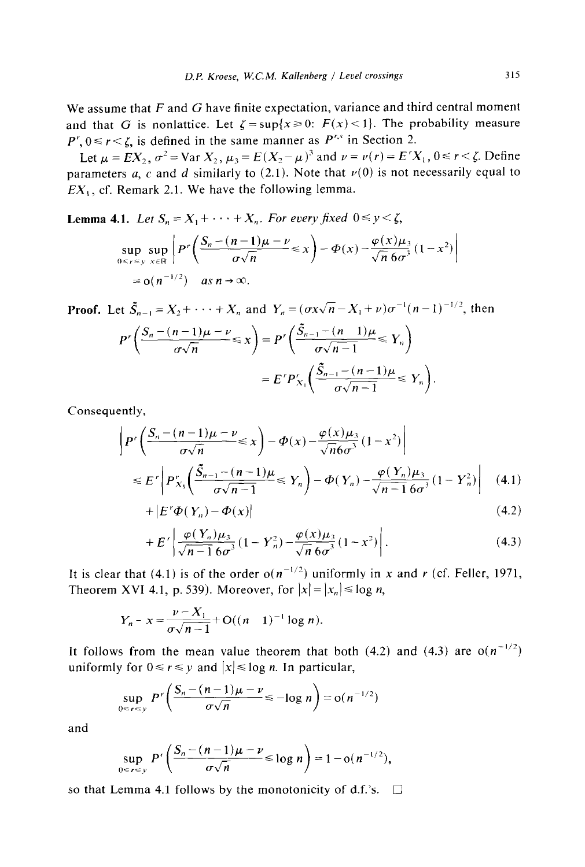We assume that  $F$  and  $G$  have finite expectation, variance and third central moment and that G is nonlattice. Let  $\zeta = \sup\{x \geq 0: F(x) < 1\}$ . The probability measure  $P^r$ ,  $0 \le r \le \zeta$ , is defined in the same manner as  $P^{r,s}$  in Section 2.

Let  $\mu = EX_2, \sigma^2 = \text{Var }X_2, \mu_3 = E(X_2-\mu)^3$  and  $\nu = \nu(r) = E'X_1, 0 \le r < \zeta$ . Define parameters a, c and d similarly to  $(2.1)$ . Note that  $\nu(0)$  is not necessarily equal to *EX,,* cf. Remark 2.1. We have the following lemma.

**Lemma 4.1.** *Let*  $S_n = X_1 + \cdots + X_n$ *. For every fixed*  $0 \le y \le \zeta$ ,  $\sup_{n \leq r \leq y} \sup_{x \in \mathbb{R}} \left| P^r \left( \frac{S_n - (n-1)\mu - \nu}{\sigma \sqrt{n}} \right) \right|$  $\varphi(x)\mu$  $\sup_{0 \le r \le y} \sup_{x \in \mathbb{R}} P' \left( \frac{\partial}{\partial \sqrt{n}} \right) = \frac{P(x) - \frac{1}{\sqrt{n} \cdot 6\sigma^3} (1 - x)}{\sqrt{n} \cdot 6\sigma^3}$  $= o(n^{-1/2})$  as  $n \to \infty$ .

**Proof.** Let  $\tilde{S}_{n-1} = X_2 + \cdots + X_n$  and  $Y_n = (\sigma x \sqrt{n} - X_1 + v)\sigma^{-1}(n-1)^{-1/2}$ , then  $P'\left(\frac{S_n-(n-1)\mu-\nu}{\sigma\sqrt{n}}\leq x\right)=P'\left(\frac{\tilde{S}_{n-1}-(n-1)\mu}{\sigma\sqrt{n-1}}\leq Y_n\right)$  $= E^{r} P_{X_1}^{r} \left( \frac{S_{n-1} - (n-1)\mu}{\sigma \sqrt{n-1}} \right)$ 

Consequently,

$$
\left| P'\left(\frac{S_n - (n-1)\mu - \nu}{\sigma\sqrt{n}} \le x \right) - \Phi(x) - \frac{\varphi(x)\mu_3}{\sqrt{n}\delta\sigma^3} (1 - x^2) \right|
$$
  
\n
$$
\le E'\left| P'_{X_1}\left(\frac{\tilde{S}_{n-1} - (n-1)\mu}{\sigma\sqrt{n-1}} \le Y_n \right) - \Phi(Y_n) - \frac{\varphi(Y_n)\mu_3}{\sqrt{n-1}\delta\sigma^3} (1 - Y_n^2) \right| \tag{4.1}
$$

$$
+|E'\Phi(Y_n) - \Phi(x)| \tag{4.2}
$$

$$
+E'\left|\frac{\varphi(Y_n)\mu_3}{\sqrt{n-1}\,6\sigma^3}\left(1-Y_n^2\right)-\frac{\varphi(x)\mu_3}{\sqrt{n}\,6\sigma^3}\left(1-x^2\right)\right|.\tag{4.3}
$$

It is clear that (4.1) is of the order  $o(n^{-1/2})$  uniformly in x and r (cf. Feller, 1971, Theorem XVI 4.1, p. 539). Moreover, for  $|x| = |x_n| \le \log n$ ,

$$
Y_n - x = \frac{\nu - X_1}{\sigma \sqrt{n-1}} + O((n-1)^{-1} \log n).
$$

It follows from the mean value theorem that both  $(4.2)$  and  $(4.3)$  are  $o(n^{-1/2})$ uniformly for  $0 \le r \le y$  and  $|x| \le \log n$ . In particular,

$$
\sup_{0\leq r\leq y} P'\left(\frac{S_n-(n-1)\mu-\nu}{\sigma\sqrt{n}}\leq -\log n\right)=o(n^{-1/2})
$$

and

$$
\sup_{0\leq r\leq y} P^r\bigg(\frac{S_n-(n-1)\mu-\nu}{\sigma\sqrt{n}} \leq \log n\bigg) = 1 - o(n^{-1/2}),
$$

so that Lemma 4.1 follows by the monotonicity of d.f.'s.  $\Box$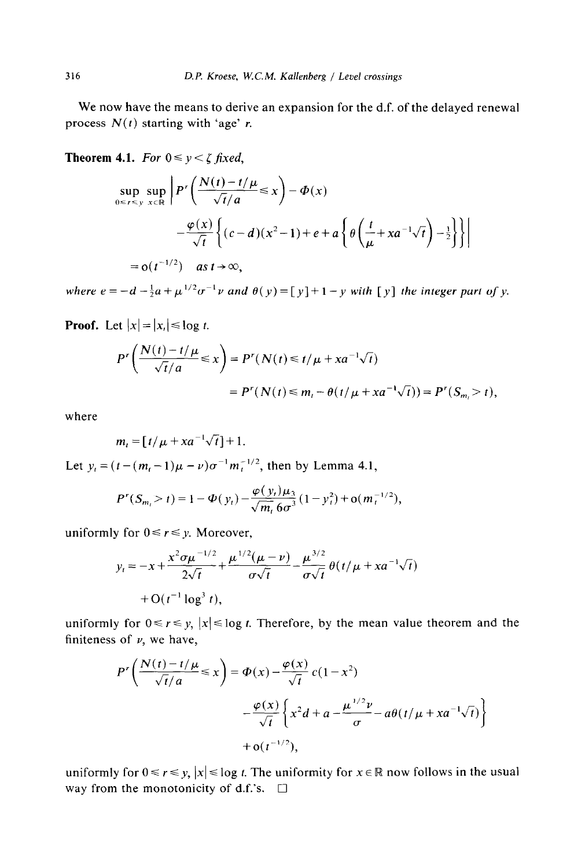We now have the means to derive an expansion for the d.f. of the delayed renewal process  $N(t)$  starting with 'age'  $r$ .

**Theorem 4.1.** *For*  $0 \le y \le \zeta$  *fixed,* 

$$
\sup_{0 \leq r \leq y} \sup_{x \in \mathbb{R}} \left| P'\left(\frac{N(t) - t/\mu}{\sqrt{t}/a} \leq x \right) - \Phi(x) \right|
$$
  
 
$$
- \frac{\varphi(x)}{\sqrt{t}} \left\{ (c - d)(x^2 - 1) + e + a \left\{ \theta \left( \frac{t}{\mu} + x a^{-1} \sqrt{t} \right) - \frac{1}{2} \right\} \right\}
$$
  
= o(t<sup>-1/2</sup>) as t \to \infty,

where  $e = -d - \frac{1}{2}a + \mu^{1/2} \sigma^{-1} \nu$  and  $\theta(\nu) = [\nu] + 1 - \nu$  with  $[\nu]$  the integer part of  $\nu$ .

**Proof.** Let  $|x| = |x_i| \le \log t$ .

$$
P'\left(\frac{N(t)-t/\mu}{\sqrt{t}/a} \leq x\right) = P'(N(t) \leq t/\mu + xa^{-1}\sqrt{t})
$$
  
= 
$$
P'(N(t) \leq m_t - \theta(t/\mu + xa^{-1}\sqrt{t})) = P'(S_{m_t} > t),
$$

where

$$
m_t = [t/\mu + xa^{-1}\sqrt{t}] + 1.
$$

Let  $y_t = (t - (m_t - 1)\mu - \nu)\sigma^{-1}m_t^{-1/2}$ , then by Lemma 4.1,

$$
P^{r}(S_{m_{t}} > t) = 1 - \Phi(y_{t}) - \frac{\varphi(y_{t})\mu_{3}}{\sqrt{m_{t}}}\frac{(1 - y_{t}^{2}) + o(m_{t}^{-1/2})}{(1 - y_{t}^{2}) + o(m_{t}^{-1/2})},
$$

uniformly for  $0 \le r \le y$ . Moreover,

$$
y_t = -x + \frac{x^2 \sigma \mu^{-1/2}}{2\sqrt{t}} + \frac{\mu^{1/2}(\mu - \nu)}{\sigma \sqrt{t}} - \frac{\mu^{3/2}}{\sigma \sqrt{t}} \theta(t/\mu + x a^{-1} \sqrt{t})
$$
  
+ O(t<sup>-1</sup> log<sup>3</sup> t),

uniformly for  $0 \le r \le y$ ,  $|x| \le \log t$ . Therefore, by the mean value theorem and the finiteness of  $\nu$ , we have,

$$
P'\left(\frac{N(t)-t/\mu}{\sqrt{t}/a} \le x\right) = \Phi(x) - \frac{\varphi(x)}{\sqrt{t}} c(1-x^2)
$$

$$
-\frac{\varphi(x)}{\sqrt{t}} \left\{ x^2 d + a - \frac{\mu^{1/2} \nu}{\sigma} - a\theta(t/\mu + xa^{-1}\sqrt{t}) \right\}
$$

$$
+ o(t^{-1/2}),
$$

uniformly for  $0 \le r \le y$ ,  $|x| \le \log t$ . The uniformity for  $x \in \mathbb{R}$  now follows in the usual way from the monotonicity of d.f.'s.  $\Box$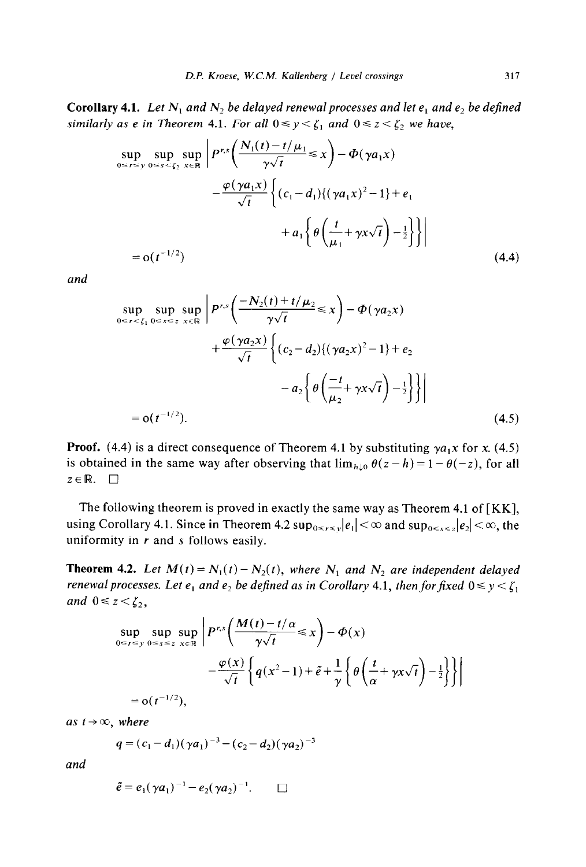Corollary 4.1. Let  $N_1$  and  $N_2$  be delayed renewal processes and let  $e_1$  and  $e_2$  be defined *similarly as e in Theorem 4.1. For all*  $0 \le y \le \zeta_1$  *and*  $0 \le z \le \zeta_2$  *we have,* 

$$
\sup_{0 \le r \le y} \sup_{0 \le s \le \xi_2} \sup_{x \in \mathbb{R}} \left| P^{r,s} \left( \frac{N_1(t) - t/\mu_1}{\gamma \sqrt{t}} \le x \right) - \Phi(\gamma a_1 x) - \frac{\varphi(\gamma a_1 x)}{\sqrt{t}} \left\{ (c_1 - d_1) \{ (\gamma a_1 x)^2 - 1 \} + e_1 + a_1 \left\{ \theta \left( \frac{t}{\mu_1} + \gamma x \sqrt{t} \right) - \frac{1}{2} \right\} \right\} \right|
$$
  
= o(t<sup>-1/2</sup>) (4.4)

*and* 

$$
\sup_{0 \le r < \zeta_1} \sup_{0 \le s \le z} \sup_{x \in \mathbb{R}} \left| P^{r,s} \left( \frac{-N_2(t) + t/\mu_2}{\gamma \sqrt{t}} \le x \right) - \Phi(\gamma a_2 x) + \frac{\varphi(\gamma a_2 x)}{\sqrt{t}} \left\{ (c_2 - d_2) \{ (\gamma a_2 x)^2 - 1 \} + e_2 - a_2 \left\{ \theta \left( \frac{-t}{\mu_2} + \gamma x \sqrt{t} \right) - \frac{1}{2} \right\} \right\} \right|
$$
  
= o(t<sup>-1/2</sup>). (4.5)

**Proof.** (4.4) is a direct consequence of Theorem 4.1 by substituting  $\gamma a_1 x$  for x. (4.5) is obtained in the same way after observing that  $\lim_{h\downarrow 0} \theta(z - h) = 1 - \theta(-z)$ , for all  $z \in \mathbb{R}$ .  $\Box$ 

The following theorem is proved in exactly the same way as Theorem 4.1 of  $KK$ ], using Corollary 4.1. Since in Theorem 4.2  $sup_{0 \le r \le \gamma} |e_1| < \infty$  and  $sup_{0 \le s \le 2} |e_2| < \infty$ , the uniformity in *r* and s follows easily.

**Theorem 4.2.** Let  $M(t) = N_1(t) - N_2(t)$ , where  $N_1$  and  $N_2$  are independent delayed *renewal processes. Let e<sub>1</sub> and e<sub>2</sub> be defined as in Corollary 4.1, then for fixed*  $0 \le y \le \zeta_1$ *and*  $0 \leq z \leq \zeta_2$ ,

$$
\sup_{0 \le r \le y} \sup_{0 \le s \le z} \sup_{x \in \mathbb{R}} \left| P^{r,s} \left( \frac{M(t) - t/\alpha}{\gamma \sqrt{t}} \le x \right) - \Phi(x) \right|
$$
  
 
$$
- \frac{\varphi(x)}{\sqrt{t}} \left\{ q(x^2 - 1) + \tilde{e} + \frac{1}{\gamma} \left\{ \theta \left( \frac{t}{\alpha} + \gamma x \sqrt{t} \right) - \frac{1}{2} \right\} \right\} \right|
$$
  
= o(t<sup>-1/2</sup>),

*as*  $t \rightarrow \infty$ *, where* 

$$
q = (c_1 - d_1)(\gamma a_1)^{-3} - (c_2 - d_2)(\gamma a_2)^{-3}
$$

*and* 

$$
\tilde{e} = e_1 (\gamma a_1)^{-1} - e_2 (\gamma a_2)^{-1}.\qquad \Box
$$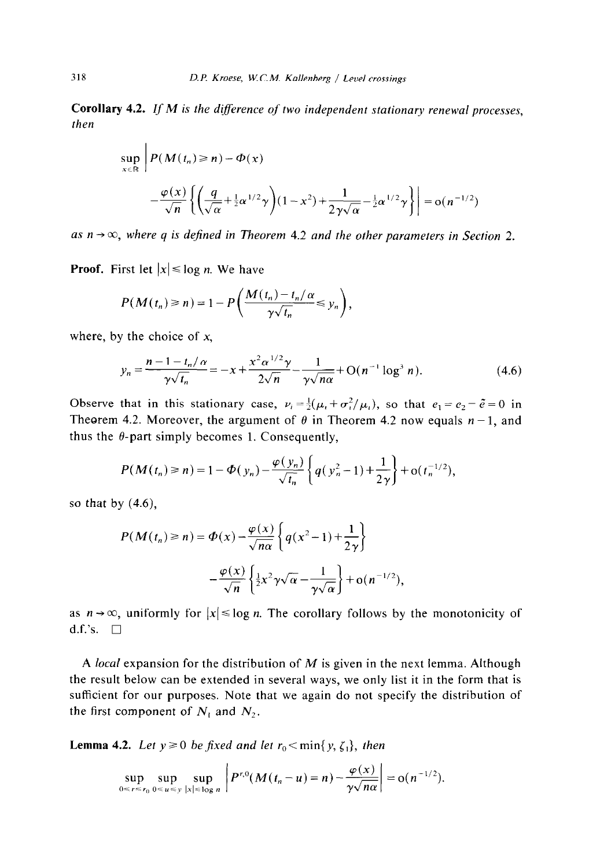**Corollary 4.2. If** *M is the diference of two independent stationary renewal processes, then* 

$$
\sup_{x \in \mathbb{R}} \left| P(M(t_n) \ge n) - \Phi(x) \right|
$$
  
 
$$
- \frac{\varphi(x)}{\sqrt{n}} \left\{ \left( \frac{q}{\sqrt{\alpha}} + \frac{1}{2} \alpha^{1/2} \gamma \right) (1 - x^2) + \frac{1}{2 \gamma \sqrt{\alpha}} - \frac{1}{2} \alpha^{1/2} \gamma \right\} \right| = o(n^{-1/2})
$$

as  $n \rightarrow \infty$ , where q is defined in Theorem 4.2 and the other parameters in Section 2.

**Proof.** First let  $|x| \leq \log n$ . We have

$$
P(M(t_n) \geq n) = 1 - P\left(\frac{M(t_n) - t_n/\alpha}{\gamma \sqrt{t_n}} \leq y_n\right),
$$

where, by the choice of  $x$ ,

$$
y_n = \frac{n - 1 - t_n/\alpha}{\gamma \sqrt{t_n}} = -x + \frac{x^2 \alpha^{1/2} \gamma}{2\sqrt{n}} - \frac{1}{\gamma \sqrt{n\alpha}} + O(n^{-1} \log^3 n). \tag{4.6}
$$

Observe that in this stationary case,  $v_i = \frac{1}{2}(\mu_i + \sigma_i^2/\mu_i)$ , so that  $e_1 = e_2 = \tilde{e} = 0$  in Theorem 4.2. Moreover, the argument of  $\theta$  in Theorem 4.2 now equals  $n-1$ , and thus the  $\theta$ -part simply becomes 1. Consequently,

$$
P(M(t_n) \ge n) = 1 - \Phi(y_n) - \frac{\varphi(y_n)}{\sqrt{t_n}} \left\{ q(y_n^2 - 1) + \frac{1}{2\gamma} \right\} + o(t_n^{-1/2}),
$$

so that by  $(4.6)$ ,

$$
P(M(t_n) \ge n) = \Phi(x) - \frac{\varphi(x)}{\sqrt{n\alpha}} \left\{ q(x^2 - 1) + \frac{1}{2\gamma} \right\}
$$

$$
- \frac{\varphi(x)}{\sqrt{n}} \left\{ \frac{1}{2} x^2 \gamma \sqrt{\alpha} - \frac{1}{\gamma \sqrt{\alpha}} \right\} + o(n^{-1/2}),
$$

as  $n \rightarrow \infty$ , uniformly for  $|x| \le \log n$ . The corollary follows by the monotonicity of d.f.'s.  $\Box$ 

A *local* expansion for the distribution of *M* is given in the next lemma. Although the result below can be extended in several ways, we only list it in the form that is sufficient for our purposes. Note that we again do not specify the distribution of the first component of  $N_1$  and  $N_2$ .

**Lemma 4.2.** Let  $y \ge 0$  be fixed and let  $r_0 < \min\{y, \zeta_1\}$ , then

$$
\sup_{0\leq r\leq r_0}\sup_{0\leq u\leq y}\sup_{|x|\leq \log n}\left|P^{r,0}(M(t_n-u)=n)-\frac{\varphi(x)}{\gamma\sqrt{n\alpha}}\right|=o(n^{-1/2}).
$$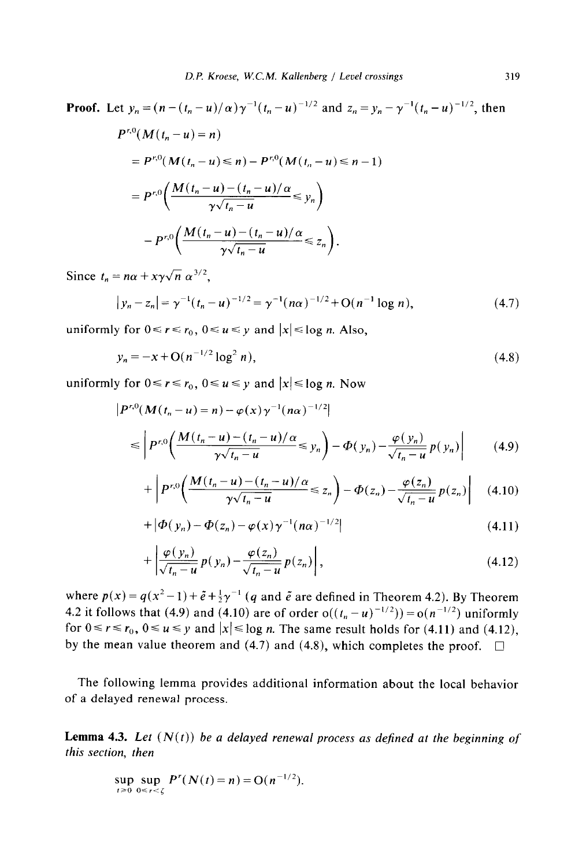Proof. Let 
$$
y_n = (n - (t_n - u)/\alpha) \gamma^{-1} (t_n - u)^{-1/2}
$$
 and  $z_n = y_n - \gamma^{-1} (t_n - u)^{-1/2}$ , then  
\n
$$
P^{r,0}(M(t_n - u) = n)
$$
\n
$$
= P^{r,0}(M(t_n - u) \le n) - P^{r,0}(M(t_n - u) \le n - 1)
$$
\n
$$
= P^{r,0}\left(\frac{M(t_n - u) - (t_n - u)/\alpha}{\gamma \sqrt{t_n - u}} \le y_n\right)
$$
\n
$$
- P^{r,0}\left(\frac{M(t_n - u) - (t_n - u)/\alpha}{\gamma \sqrt{t_n - u}} \le z_n\right).
$$

Since  $t_n = n\alpha + x\gamma\sqrt{n} \alpha^{3/2}$ ,

$$
|y_n - z_n| = \gamma^{-1} (t_n - u)^{-1/2} = \gamma^{-1} (n\alpha)^{-1/2} + O(n^{-1} \log n), \tag{4.7}
$$

uniformly for  $0 \le r \le r_0$ ,  $0 \le u \le y$  and  $|x| \le \log n$ . Also,

$$
y_n = -x + O(n^{-1/2} \log^2 n),
$$
\n(4.8)

uniformly for  $0 \le r \le r_0$ ,  $0 \le u \le y$  and  $|x| \le \log n$ . Now

$$
\left| P^{r,0}(M(t_n - u) = n) - \varphi(x) \gamma^{-1} (n\alpha)^{-1/2} \right|
$$
  
\n
$$
\leq \left| P^{r,0}\left( \frac{M(t_n - u) - (t_n - u)/\alpha}{\gamma \sqrt{t_n - u}} \leq y_n \right) - \varphi(y_n) - \frac{\varphi(y_n)}{\sqrt{t_n - u}} p(y_n) \right| \tag{4.9}
$$

$$
+\left|P^{r,0}\left(\frac{M(t_n-u)-(t_n-u)/\alpha}{\gamma\sqrt{t_n-u}}\leq z_n\right)-\Phi(z_n)-\frac{\varphi(z_n)}{\sqrt{t_n-u}}p(z_n)\right|\quad(4.10)
$$

$$
+ |\Phi(y_n) - \Phi(z_n) - \varphi(x)\gamma^{-1}(n\alpha)^{-1/2}| \qquad (4.11)
$$

$$
+\left|\frac{\varphi(y_n)}{\sqrt{t_n-u}}p(y_n)-\frac{\varphi(z_n)}{\sqrt{t_n-u}}p(z_n)\right|,\tag{4.12}
$$

where  $p(x) = q(x^2-1)+\tilde{e}+\frac{1}{2}\gamma^{-1}$  (q and  $\tilde{e}$  are defined in Theorem 4.2). By Theorem 4.2 it follows that (4.9) and (4.10) are of order  $o((t_n - u)^{-1/2})) = o(n^{-1/2})$  uniformly for  $0 \le r \le r_0$ ,  $0 \le u \le y$  and  $|x| \le \log n$ . The same result holds for (4.11) and (4.12), by the mean value theorem and (4.7) and (4.8), which completes the proof.  $\Box$ 

The following lemma provides additional information about the local behavior of a delayed renewal process.

**Lemma 4.3.** Let  $(N(t))$  be a delayed renewal process as defined at the beginning of *this section, then* 

$$
\sup_{t \geq 0} \sup_{0 \leq r < \zeta} P^r(N(t) = n) = O(n^{-1/2}).
$$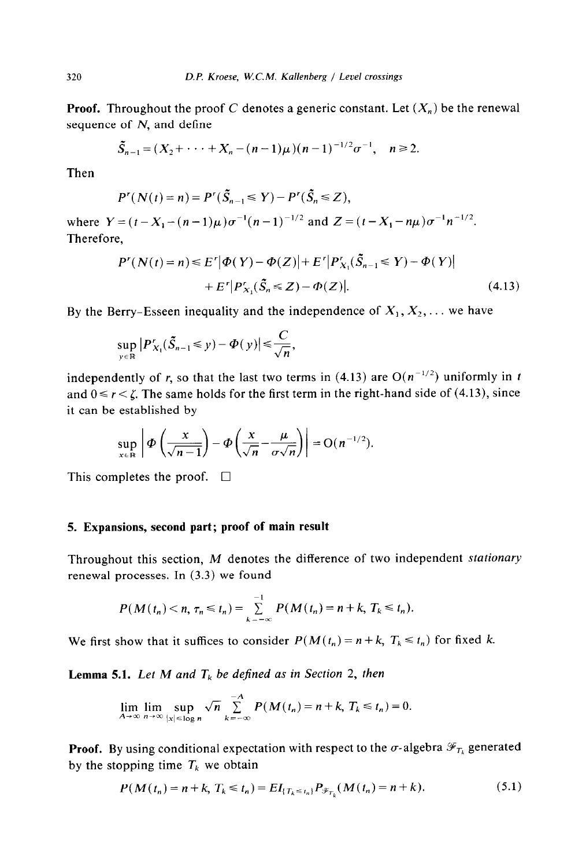**Proof.** Throughout the proof C denotes a generic constant. Let  $(X_n)$  be the renewal sequence of  $N$ , and define

$$
\widetilde{S}_{n-1}=(X_2+\cdots+X_n-(n-1)\mu)(n-1)^{-1/2}\sigma^{-1},\quad n\geq 2.
$$

Then

$$
P^r(N(t)=n)=P^r(\tilde{S}_{n-1}\leq Y)-P^r(\tilde{S}_n\leq Z),
$$

where  $Y=(t-X_1-(n-1)\mu)\sigma^{-1}(n-1)^{-1/2}$  and  $Z=(t-X_1-n\mu)\sigma^{-1}n^{-1/2}$ . Therefore,

$$
P'(N(t) = n) \le E'| \Phi(Y) - \Phi(Z)| + E'|P'_{X_1}(\tilde{S}_{n-1} \le Y) - \Phi(Y)|
$$
  
+ 
$$
E'|P'_{X_1}(\tilde{S}_n \le Z) - \Phi(Z)|.
$$
 (4.13)

By the Berry-Esseen inequality and the independence of  $X_1, X_2, \ldots$  we have

$$
\sup_{y\in\mathbb{R}}\left|P'_{X_1}(\tilde{S}_{n-1}\leq y)-\Phi(y)\right|\leq\frac{C}{\sqrt{n}},
$$

independently of r, so that the last two terms in (4.13) are  $O(n^{-1/2})$  uniformly in t and  $0 \le r < \zeta$ . The same holds for the first term in the right-hand side of (4.13), since it can be established by

$$
\sup_{x\in\mathbb{R}}\left|\Phi\left(\frac{x}{\sqrt{n-1}}\right)-\Phi\left(\frac{x}{\sqrt{n}}-\frac{\mu}{\sigma\sqrt{n}}\right)\right|=O(n^{-1/2}).
$$

This completes the proof.  $\Box$ 

# **5. Expansions, second part; proof of main result**

Throughout this section, *M* denotes the difference of two independent *stationary*  renewal processes. In (3.3) we found

$$
P(M(t_n) < n, \tau_n \leq t_n) = \sum_{k=-\infty}^{-1} P(M(t_n) = n + k, \, T_k \leq t_n).
$$

We first show that it suffices to consider  $P(M(t_n) = n + k, T_k \le t_n)$  for fixed k.

**Lemma 5.1.** *Let M* and  $T_k$  *be defined as in Section 2, then* 

$$
\lim_{A\to\infty}\lim_{n\to\infty}\sup_{|x|\leq \log n}\sqrt{n}\sum_{k=-\infty}^{-A}P(M(t_n)=n+k,\ T_k\leq t_n)=0.
$$

**Proof.** By using conditional expectation with respect to the  $\sigma$ -algebra  $\mathcal{F}_{T_k}$  generated by the stopping time  $T_k$  we obtain

$$
P(M(t_n) = n + k, T_k \le t_n) = EI_{\{T_k \le t_n\}} P_{\mathcal{F}_{T_k}}(M(t_n) = n + k). \tag{5.1}
$$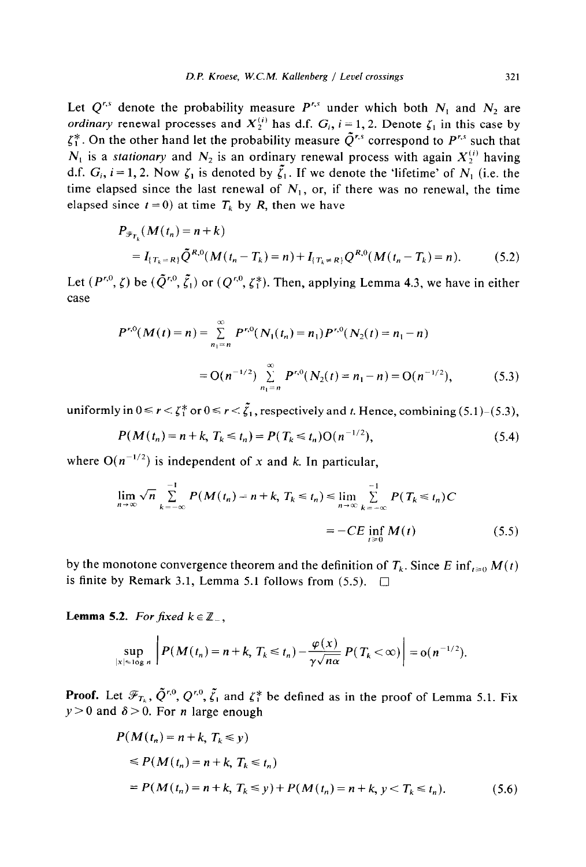Let  $Q^{r,s}$  denote the probability measure  $P^{r,s}$  under which both  $N_1$  and  $N_2$  are *ordinary* renewal processes and  $X_2^{(i)}$  has d.f.  $G_i$ ,  $i = 1, 2$ . Denote  $\zeta_1$  in this case by  $\zeta_1^*$ . On the other hand let the probability measure  $\tilde{Q}^{r,s}$  correspond to  $P^{r,s}$  such that  $N_1$  is a *stationary* and  $N_2$  is an ordinary renewal process with again  $X_2^{(i)}$  having d.f.  $G_i$ ,  $i = 1, 2$ . Now  $\zeta_1$  is denoted by  $\tilde{\zeta}_1$ . If we denote the 'lifetime' of  $N_1$  (i.e. the time elapsed since the last renewal of  $N_1$ , or, if there was no renewal, the time elapsed since  $t = 0$ ) at time  $T_k$  by R, then we have

$$
P_{\mathscr{F}_{T_k}}(M(t_n) = n + k)
$$
  
=  $I_{\{T_k = R\}} \tilde{Q}^{R,0}(M(t_n - T_k) = n) + I_{\{T_k \neq R\}} Q^{R,0}(M(t_n - T_k) = n).$  (5.2)

Let  $(P^{r,0}, \zeta)$  be  $(\tilde{Q}^{r,0}, \tilde{\zeta}_1)$  or  $(Q^{r,0}, \zeta_1^*)$ . Then, applying Lemma 4.3, we have in either case

$$
P^{r,0}(M(t) = n) = \sum_{n_1=n}^{\infty} P^{r,0}(N_1(t_n) = n_1) P^{r,0}(N_2(t) = n_1 - n)
$$
  
= O(n<sup>-1/2</sup>)  $\sum_{n_1=n}^{\infty} P^{r,0}(N_2(t) = n_1 - n) = O(n^{-1/2}),$  (5.3)

uniformly in  $0 \le r < \zeta_1^*$  or  $0 \le r < \tilde{\zeta}_1$ , respectively and t. Hence, combining (5.1)-(5.3),

$$
P(M(t_n) = n + k, T_k \le t_n) = P(T_k \le t_n) O(n^{-1/2}),
$$
\n(5.4)

where  $O(n^{-1/2})$  is independent of x and k. In particular,

$$
\lim_{n \to \infty} \sqrt{n} \sum_{k=-\infty}^{-1} P(M(t_n) = n + k, T_k \le t_n) \le \lim_{n \to \infty} \sum_{k=-\infty}^{-1} P(T_k \le t_n) C
$$

$$
= -CE \inf_{t \ge 0} M(t) \tag{5.5}
$$

by the monotone convergence theorem and the definition of  $T_k$ . Since *E* inf<sub> $l \ge 0$ </sub>  $M(t)$ is finite by Remark 3.1, Lemma 5.1 follows from  $(5.5)$ .

**Lemma 5.2.** *For fixed*  $k \in \mathbb{Z}_-$ ,

$$
\sup_{|x|\leq \log n}\left|P(M(t_n)=n+k,\,T_k\leq t_n)-\frac{\varphi(x)}{\gamma\sqrt{n\alpha}}\,P(T_k<\infty)\right|=o(n^{-1/2}).
$$

**Proof.** Let  $\mathscr{F}_{T_k}$ ,  $\tilde{Q}^{r,0}$ ,  $Q^{r,0}$ ,  $\tilde{\zeta}_1$  and  $\zeta_1^*$  be defined as in the proof of Lemma 5.1. Fix  $y > 0$  and  $\delta > 0$ . For *n* large enough

$$
P(M(t_n) = n + k, T_k \le y)
$$
  
\n
$$
\le P(M(t_n) = n + k, T_k \le t_n)
$$
  
\n
$$
= P(M(t_n) = n + k, T_k \le y) + P(M(t_n) = n + k, y < T_k \le t_n).
$$
 (5.6)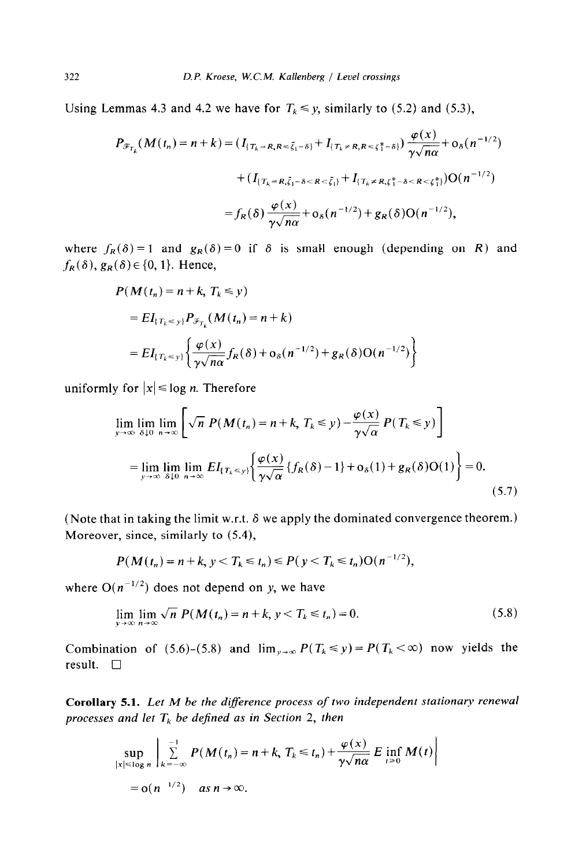Using Lemmas 4.3 and 4.2 we have for  $T_k \leq y$ , similarly to (5.2) and (5.3),

$$
P_{\mathscr{F}_{T_k}}(M(t_n) = n + k) = (I_{\{T_k = R, R \le \tilde{\xi}_1 - \delta\}} + I_{\{T_k \ne R, R \le \xi_1^* - \delta\}}) \frac{\varphi(x)}{\gamma \sqrt{n\alpha}} + o_{\delta}(n^{-1/2})
$$
  
+ 
$$
(I_{\{T_k = R, \tilde{\xi}_1 - \delta < R < \tilde{\xi}_1\}} + I_{\{T_k \ne R, \xi_1^* - \delta < R < \xi_1^*\}})O(n^{-1/2})
$$
  
= 
$$
f_R(\delta) \frac{\varphi(x)}{\gamma \sqrt{n\alpha}} + o_{\delta}(n^{-1/2}) + g_R(\delta)O(n^{-1/2}),
$$

where  $f_R(\delta) = 1$  and  $g_R(\delta) = 0$  if  $\delta$  is small enough (depending on R) and  $f_R(\delta)$ ,  $g_R(\delta) \in \{0, 1\}$ . Hence,

$$
P(M(t_n) = n + k, T_k \le y)
$$
  
=  $EI_{\{T_k \le y\}} P_{\mathscr{F}_{T_k}}(M(t_n) = n + k)$   
=  $EI_{\{T_k \le y\}} \left\{ \frac{\varphi(x)}{\gamma \sqrt{n\alpha}} f_R(\delta) + o_\delta(n^{-1/2}) + g_R(\delta) O(n^{-1/2}) \right\}$ 

uniformly for  $|x| \leq \log n$ . Therefore

$$
\lim_{y \to \infty} \lim_{\delta \downarrow 0} \lim_{n \to \infty} \left[ \sqrt{n} \ P(M(t_n) = n + k, T_k \le y) - \frac{\varphi(x)}{\gamma \sqrt{\alpha}} \ P(T_k \le y) \right]
$$
\n
$$
= \lim_{y \to \infty} \lim_{\delta \downarrow 0} \lim_{n \to \infty} EI_{\{T_k \le y\}} \left\{ \frac{\varphi(x)}{\gamma \sqrt{\alpha}} \{f_R(\delta) - 1\} + o_\delta(1) + g_R(\delta) O(1) \right\} = 0.
$$
\n(5.7)

(Note that in taking the limit w.r.t.  $\delta$  we apply the dominated convergence theorem.) Moreover, since, similarly to (5.4),

$$
P(M(t_n) = n + k, y < T_k \leq t_n) \leq P(y < T_k \leq t_n) O(n^{-1/2}),
$$

where  $O(n^{-1/2})$  does not depend on y, we have

$$
\lim_{y \to \infty} \lim_{n \to \infty} \sqrt{n} \ P(M(t_n) = n + k, \, y < T_k \leq t_n) = 0. \tag{5.8}
$$

Combination of (5.6)-(5.8) and  $\lim_{y\to\infty} P(T_k \le y) = P(T_k < \infty)$  now yields the result.  $\square$ 

Corollary 5.1. *Let M be the diference process of two independent stationary renewal processes and let*  $T_k$  *be defined as in Section 2, then* 

$$
\sup_{|x| \le \log n} \left| \sum_{k=-\infty}^{-1} P(M(t_n) = n + k, T_k \le t_n) + \frac{\varphi(x)}{\gamma \sqrt{n \alpha}} E \inf_{t \ge 0} M(t) \right|
$$
  
= o(n<sup>-1/2</sup>) as  $n \to \infty$ .